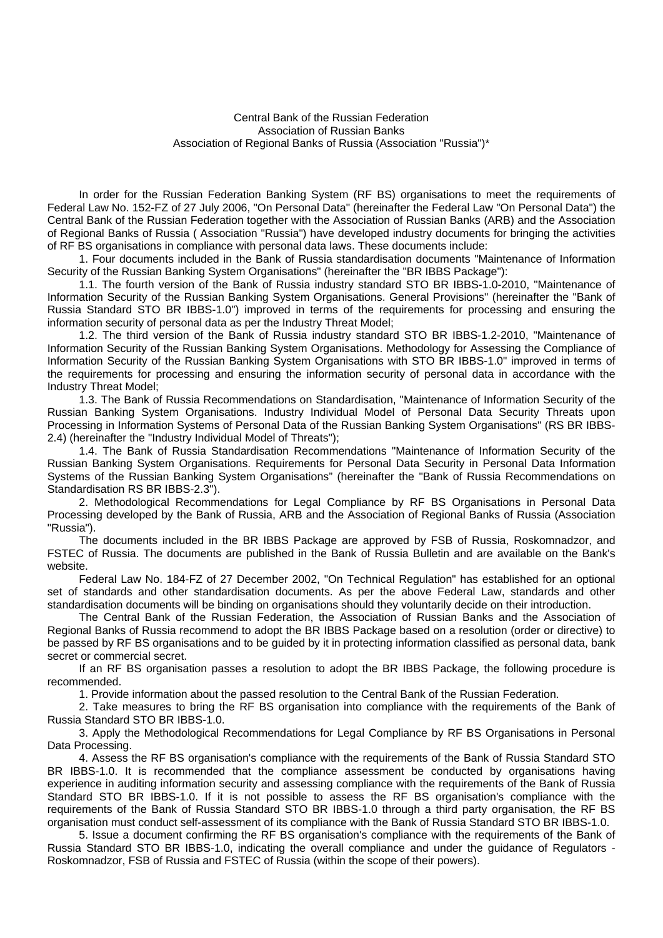Central Bank of the Russian Federation Association of Russian Banks Association of Regional Banks of Russia (Association "Russia")\*

In order for the Russian Federation Banking System (RF BS) organisations to meet the requirements of Federal Law No. 152-FZ of 27 July 2006, "On Personal Data" (hereinafter the Federal Law "On Personal Data") the Central Bank of the Russian Federation together with the Association of Russian Banks (ARB) and the Association of Regional Banks of Russia ( Association "Russia") have developed industry documents for bringing the activities of RF BS organisations in compliance with personal data laws. These documents include:

1. Four documents included in the Bank of Russia standardisation documents "Maintenance of Information Security of the Russian Banking System Organisations" (hereinafter the "BR IBBS Package"):

1.1. The fourth version of the Bank of Russia industry standard STO BR IBBS-1.0-2010, "Maintenance of Information Security of the Russian Banking System Organisations. General Provisions" (hereinafter the "Bank of Russia Standard STO BR IBBS-1.0") improved in terms of the requirements for processing and ensuring the information security of personal data as per the Industry Threat Model;

1.2. The third version of the Bank of Russia industry standard STO BR IBBS-1.2-2010, "Maintenance of Information Security of the Russian Banking System Organisations. Methodology for Assessing the Compliance of Information Security of the Russian Banking System Organisations with STO BR IBBS-1.0" improved in terms of the requirements for processing and ensuring the information security of personal data in accordance with the Industry Threat Model;

1.3. The Bank of Russia Recommendations on Standardisation, "Maintenance of Information Security of the Russian Banking System Organisations. Industry Individual Model of Personal Data Security Threats upon Processing in Information Systems of Personal Data of the Russian Banking System Organisations" (RS BR IBBS-2.4) (hereinafter the "Industry Individual Model of Threats");

1.4. The Bank of Russia Standardisation Recommendations "Maintenance of Information Security of the Russian Banking System Organisations. Requirements for Personal Data Security in Personal Data Information Systems of the Russian Banking System Organisations" (hereinafter the "Bank of Russia Recommendations on Standardisation RS BR IBBS-2.3").

2. Methodological Recommendations for Legal Compliance by RF BS Organisations in Personal Data Processing developed by the Bank of Russia, ARB and the Association of Regional Banks of Russia (Association "Russia").

The documents included in the BR IBBS Package are approved by FSB of Russia, Roskomnadzor, and FSTEC of Russia. The documents are published in the Bank of Russia Bulletin and are available on the Bank's website.

Federal Law No. 184-FZ of 27 December 2002, "On Technical Regulation" has established for an optional set of standards and other standardisation documents. As per the above Federal Law, standards and other standardisation documents will be binding on organisations should they voluntarily decide on their introduction.

The Central Bank of the Russian Federation, the Association of Russian Banks and the Association of Regional Banks of Russia recommend to adopt the BR IBBS Package based on a resolution (order or directive) to be passed by RF BS organisations and to be guided by it in protecting information classified as personal data, bank secret or commercial secret.

If an RF BS organisation passes a resolution to adopt the BR IBBS Package, the following procedure is recommended.

1. Provide information about the passed resolution to the Central Bank of the Russian Federation.

2. Take measures to bring the RF BS organisation into compliance with the requirements of the Bank of Russia Standard STO BR IBBS-1.0.

3. Apply the Methodological Recommendations for Legal Compliance by RF BS Organisations in Personal Data Processing.

4. Assess the RF BS organisation's compliance with the requirements of the Bank of Russia Standard STO BR IBBS-1.0. It is recommended that the compliance assessment be conducted by organisations having experience in auditing information security and assessing compliance with the requirements of the Bank of Russia Standard STO BR IBBS-1.0. If it is not possible to assess the RF BS organisation's compliance with the requirements of the Bank of Russia Standard STO BR IBBS-1.0 through a third party organisation, the RF BS organisation must conduct self-assessment of its compliance with the Bank of Russia Standard STO BR IBBS-1.0.

5. Issue a document confirming the RF BS organisation's compliance with the requirements of the Bank of Russia Standard STO BR IBBS-1.0, indicating the overall compliance and under the guidance of Regulators - Roskomnadzor, FSB of Russia and FSTEC of Russia (within the scope of their powers).